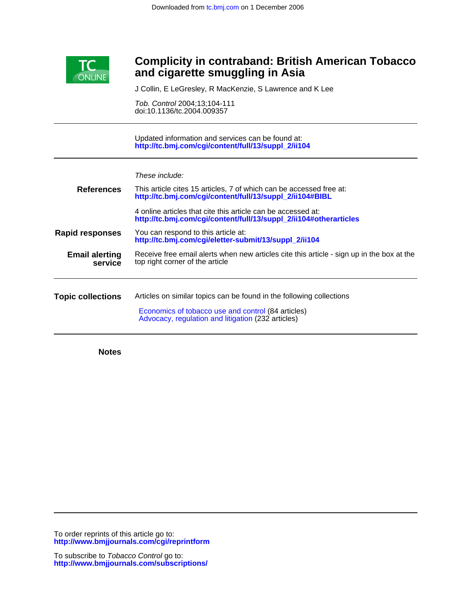

## **and cigarette smuggling in Asia Complicity in contraband: British American Tobacco**

J Collin, E LeGresley, R MacKenzie, S Lawrence and K Lee

doi:10.1136/tc.2004.009357 Tob. Control 2004;13;104-111

**[http://tc.bmj.com/cgi/content/full/13/suppl\\_2/ii104](http://tc.bmj.com/cgi/content/full/13/suppl_2/ii104)** Updated information and services can be found at:

| These include: |  |  |
|----------------|--|--|
|                |  |  |

| <b>References</b>                | This article cites 15 articles, 7 of which can be accessed free at:<br>http://tc.bmj.com/cgi/content/full/13/suppl_2/ii104#BIBL                                                  |  |
|----------------------------------|----------------------------------------------------------------------------------------------------------------------------------------------------------------------------------|--|
|                                  | 4 online articles that cite this article can be accessed at:<br>http://tc.bmj.com/cgi/content/full/13/suppl_2/ii104#otherarticles                                                |  |
| <b>Rapid responses</b>           | You can respond to this article at:<br>http://tc.bmj.com/cgi/eletter-submit/13/suppl 2/ii104                                                                                     |  |
| <b>Email alerting</b><br>service | Receive free email alerts when new articles cite this article - sign up in the box at the<br>top right corner of the article                                                     |  |
| <b>Topic collections</b>         | Articles on similar topics can be found in the following collections<br>Economics of tobacco use and control (84 articles)<br>Advocacy, regulation and litigation (232 articles) |  |

**Notes**

**<http://www.bmjjournals.com/cgi/reprintform>** To order reprints of this article go to: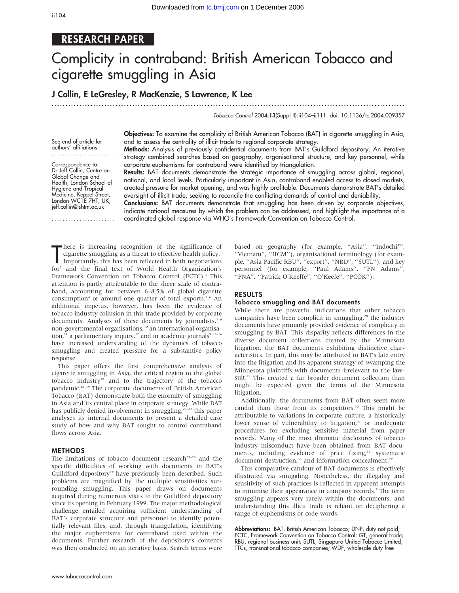## RESEARCH PAPER

# Complicity in contraband: British American Tobacco and cigarette smuggling in Asia

## J Collin, E LeGresley, R MacKenzie, S Lawrence, K Lee

...............................................................................................................................

Tobacco Control 2004;13(Suppl II):ii104–ii111. doi: 10.1136/tc.2004.009357

See end of article for authors' affiliations .......................

Correspondence to: Dr Jeff Collin, Centre on Global Change and Health, London School of Hygiene and Tropical Medicine, Keppel Street, London WC1E 7HT, UK; jeff.collin@lshtm.ac.uk

.......................

Objectives: To examine the complicity of British American Tobacco (BAT) in cigarette smuggling in Asia, and to assess the centrality of illicit trade to regional corporate strategy. Methods: Analysis of previously confidential documents from BAT's Guildford depository. An iterative

strategy combined searches based on geography, organisational structure, and key personnel, while corporate euphemisms for contraband were identified by triangulation.

Results: BAT documents demonstrate the strategic importance of smuggling across global, regional, national, and local levels. Particularly important in Asia, contraband enabled access to closed markets, created pressure for market opening, and was highly profitable. Documents demonstrate BAT's detailed oversight of illicit trade, seeking to reconcile the conflicting demands of control and deniability.

Conclusions: BAT documents demonstrate that smuggling has been driven by corporate objectives, indicate national measures by which the problem can be addressed, and highlight the importance of a coordinated global response via WHO's Framework Convention on Tobacco Control.

There is increasing recognition of the significance of<br>
importantly, this has been reflected in both negotiations<br>
for and the final taxt of Morld Health Organization's here is increasing recognition of the significance of cigarette smuggling as a threat to effective health policy.<sup>1</sup> for<sup>2</sup> and the final text of World Health Organization's Framework Convention on Tobacco Control (FCTC).<sup>3</sup> This attention is partly attributable to the sheer scale of contraband, accounting for between 6–8.5% of global cigarette consumption<sup>4</sup> or around one quarter of total exports.<sup>5 6</sup> An additional impetus, however, has been the evidence of tobacco industry collusion in this trade provided by corporate documents. Analyses of these documents by journalists, $7-9$ non-governmental organisations,<sup>10</sup> an international organisation,<sup>11</sup> a parliamentary inquiry,<sup>12</sup> and in academic journals<sup>5</sup><sup>13-16</sup> have increased understanding of the dynamics of tobacco smuggling and created pressure for a substantive policy response.

This paper offers the first comprehensive analysis of cigarette smuggling in Asia, the critical region to the global tobacco industry $17$  and to the trajectory of the tobacco pandemic.18 19 The corporate documents of British American Tobacco (BAT) demonstrate both the enormity of smuggling in Asia and its central place in corporate strategy. While BAT has publicly denied involvement in smuggling,<sup>20-22</sup> this paper analyses its internal documents to present a detailed case study of how and why BAT sought to control contraband flows across Asia.

#### METHODS

The limitations of tobacco document research<sup>23-26</sup> and the specific difficulties of working with documents in BAT's Guildford depository<sup>27</sup> have previously been described. Such problems are magnified by the multiple sensitivities surrounding smuggling. This paper draws on documents acquired during numerous visits to the Guildford depository since its opening in February 1999. The major methodological challenge entailed acquiring sufficient understanding of BAT's corporate structure and personnel to identify potentially relevant files, and, through triangulation, identifying the major euphemisms for contraband used within the documents. Further research of the depository's contents was then conducted on an iterative basis. Search terms were based on geography (for example, ''Asia'', ''Indochi\*'', ''Vietnam'', ''HCM''), organisational terminology (for example, ''Asia Pacific RBU'', ''export'', ''NBD'', ''SUTL''), and key personnel (for example, ''Paul Adams'', ''PN Adams'', ''PNA'', ''Patrick O'Keeffe'', ''O'Keefe'', ''PCOK'').

#### RESULTS

#### Tobacco smuggling and BAT documents

While there are powerful indications that other tobacco companies have been complicit in smuggling,<sup>28</sup> the industry documents have primarily provided evidence of complicity in smuggling by BAT. This disparity reflects differences in the diverse document collections created by the Minnesota litigation, the BAT documents exhibiting distinctive characteristics. In part, this may be attributed to BAT's late entry into the litigation and its apparent strategy of swamping the Minnesota plaintiffs with documents irrelevant to the lawsuit.<sup>29</sup> This created a far broader document collection than might be expected given the terms of the Minnesota litigation.

Additionally, the documents from BAT often seem more candid than those from its competitors.<sup>30</sup> This might be attributable to variations in corporate culture, a historically lower sense of vulnerability to litigation,<sup>31</sup> or inadequate procedures for excluding sensitive material from paper records. Many of the most dramatic disclosures of tobacco industry misconduct have been obtained from BAT documents, including evidence of price fixing,<sup>32</sup> systematic document destruction,<sup>33</sup> and information concealment.<sup>27</sup>

This comparative candour of BAT documents is effectively illustrated via smuggling. Nonetheless, the illegality and sensitivity of such practices is reflected in apparent attempts to minimise their appearance in company records.<sup>7</sup> The term smuggling appears very rarely within the documents, and understanding this illicit trade is reliant on deciphering a range of euphemisms or code words.

Abbreviations: BAT, British American Tobacco; DNP, duty not paid; FCTC, Framework Convention on Tobacco Control; GT, general trade; RBU, regional business unit; SUTL, Singapura United Tobacco Limited; TTCs, transnational tobacco companies; WDF, wholesale duty free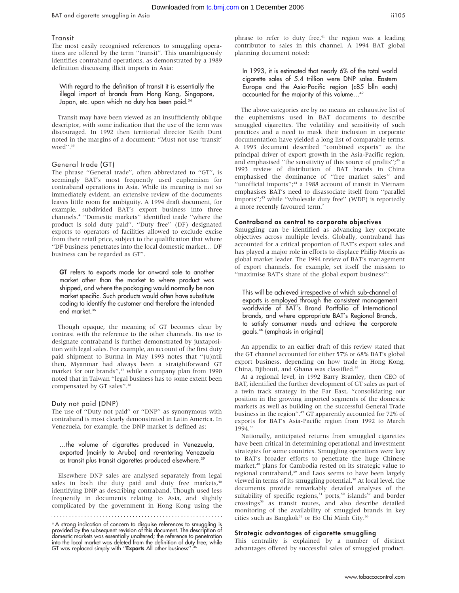#### **Transit**

The most easily recognised references to smuggling operations are offered by the term ''transit''. This unambiguously identifies contraband operations, as demonstrated by a 1989 definition discussing illicit imports in Asia:

With regard to the definition of transit it is essentially the illegal import of brands from Hong Kong, Singapore, Japan, etc. upon which no duty has been paid.<sup>34</sup>

Transit may have been viewed as an insufficiently oblique descriptor, with some indication that the use of the term was discouraged. In 1992 then territorial director Keith Dunt noted in the margins of a document: ''Must not use 'transit' word''.35

#### General trade (GT)

The phrase ''General trade'', often abbreviated to ''GT'', is seemingly BAT's most frequently used euphemism for contraband operations in Asia. While its meaning is not so immediately evident, an extensive review of the documents leaves little room for ambiguity. A 1994 draft document, for example, subdivided BAT's export business into three channels.\* ''Domestic markets'' identified trade ''where the product is sold duty paid''. ''Duty free'' (DF) designated exports to operators of facilities allowed to exclude excise from their retail price, subject to the qualification that where ''DF business penetrates into the local domestic market… DF business can be regarded as GT''.

GT refers to exports made for onward sale to another market other than the market to where product was shipped, and where the packaging would normally be non market specific. Such products would often have substitute coding to identify the customer and therefore the intended end market.<sup>36</sup>

Though opaque, the meaning of GT becomes clear by contrast with the reference to the other channels. Its use to designate contraband is further demonstrated by juxtaposition with legal sales. For example, an account of the first duty paid shipment to Burma in May 1993 notes that ''(u)ntil then, Myanmar had always been a straightforward GT market for our brands",<sup>37</sup> while a company plan from 1990 noted that in Taiwan ''legal business has to some extent been compensated by GT sales".<sup>38</sup>

#### Duty not paid (DNP)

The use of ''Duty not paid'' or ''DNP'' as synonymous with contraband is most clearly demonstrated in Latin America. In Venezuela, for example, the DNP market is defined as:

…the volume of cigarettes produced in Venezuela, exported (mainly to Aruba) and re-entering Venezuela as transit plus transit cigarettes produced elsewhere.<sup>39</sup>

Elsewhere DNP sales are analysed separately from legal sales in both the duty paid and duty free markets,<sup>40</sup> identifying DNP as describing contraband. Though used less frequently in documents relating to Asia, and slightly complicated by the government in Hong Kong using the

phrase to refer to duty free, $41$  the region was a leading contributor to sales in this channel. A 1994 BAT global planning document noted:

In 1993, it is estimated that nearly 6% of the total world cigarette sales of 5.4 trillion were DNP sales. Eastern Europe and the Asia-Pacific region (c85 blln each) accounted for the majority of this volume…42

The above categories are by no means an exhaustive list of the euphemisms used in BAT documents to describe smuggled cigarettes. The volatility and sensitivity of such practices and a need to mask their inclusion in corporate documentation have yielded a long list of comparable terms. A 1993 document described ''combined exports'' as the principal driver of export growth in the Asia-Pacific region, and emphasised "the sensitivity of this source of profits";<sup>43</sup> a 1993 review of distribution of BAT brands in China emphasised the dominance of ''free market sales'' and "unofficial imports";<sup>44</sup> a 1988 account of transit in Vietnam emphasises BAT's need to disassociate itself from ''parallel imports";<sup>45</sup> while "wholesale duty free" (WDF) is reportedly a more recently favoured term.7

#### Contraband as central to corporate objectives

Smuggling can be identified as advancing key corporate objectives across multiple levels. Globally, contraband has accounted for a critical proportion of BAT's export sales and has played a major role in efforts to displace Philip Morris as global market leader. The 1994 review of BAT's management of export channels, for example, set itself the mission to ''maximise BAT's share of the global export business'':

This will be achieved irrespective of which sub-channel of exports is employed through the consistent management worldwide of BAT's Brand Portfolio of International brands, and where appropriate BAT's Regional Brands, to satisfy consumer needs and achieve the corporate goals.46 (emphasis in original)

An appendix to an earlier draft of this review stated that the GT channel accounted for either 57% or 68% BAT's global export business, depending on how trade in Hong Kong, China, Djibouti, and Ghana was classified.<sup>36</sup>

At a regional level, in 1992 Barry Bramley, then CEO of BAT, identified the further development of GT sales as part of a twin track strategy in the Far East, ''consolidating our position in the growing imported segments of the domestic markets as well as building on the successful General Trade business in the region''.47 GT apparently accounted for 72% of exports for BAT's Asia-Pacific region from 1992 to March 1994.36

Nationally, anticipated returns from smuggled cigarettes have been critical in determining operational and investment strategies for some countries. Smuggling operations were key to BAT's broader efforts to penetrate the huge Chinese market,<sup>48</sup> plans for Cambodia rested on its strategic value to regional contraband,<sup>49</sup> and Laos seems to have been largely viewed in terms of its smuggling potential.<sup>50</sup> At local level, the documents provide remarkably detailed analyses of the suitability of specific regions,<sup>51</sup> ports,<sup>50</sup> islands<sup>52</sup> and border crossings<sup>53</sup> as transit routes, and also describe detailed monitoring of the availability of smuggled brands in key cities such as Bangkok<sup>54</sup> or Ho Chi Minh City.<sup>50</sup>

#### Strategic advantages of cigarette smuggling

This centrality is explained by a number of distinct advantages offered by successful sales of smuggled product.

<sup>\*</sup>A strong indication of concern to disguise references to smuggling is provided by the subsequent revision of this document. The description of domestic markets was essentially unaltered; the reference to penetration into the local market was deleted from the definition of duty free; while<br>GT was replaced simply with '**'Exports** All other business''.<sup>36</sup>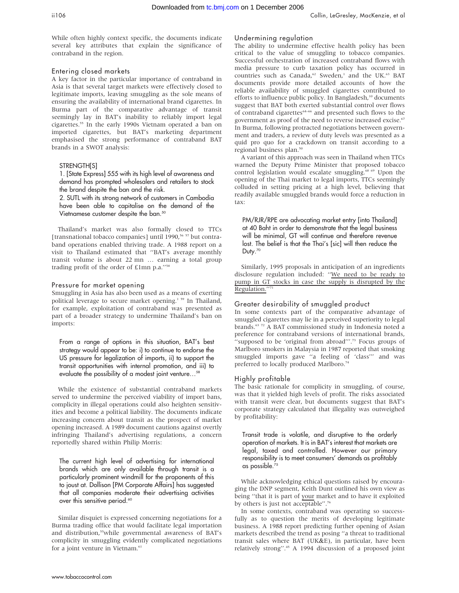While often highly context specific, the documents indicate several key attributes that explain the significance of contraband in the region.

## Entering closed markets

A key factor in the particular importance of contraband in Asia is that several target markets were effectively closed to legitimate imports, leaving smuggling as the sole means of ensuring the availability of international brand cigarettes. In Burma part of the comparative advantage of transit seemingly lay in BAT's inability to reliably import legal cigarettes.<sup>55</sup> In the early 1990s Vietnam operated a ban on imported cigarettes, but BAT's marketing department emphasised the strong performance of contraband BAT brands in a SWOT analysis:

## STRENGTH[S]

1. [State Express] 555 with its high level of awareness and demand has prompted wholesalers and retailers to stock the brand despite the ban and the risk.

2. SUTL with its strong network of customers in Cambodia have been able to capitalise on the demand of the Vietnamese customer despite the ban.<sup>50</sup>

Thailand's market was also formally closed to TTCs [transnational tobacco companies] until 1990,<sup>56 57</sup> but contraband operations enabled thriving trade. A 1988 report on a visit to Thailand estimated that ''BAT's average monthly transit volume is about 22 mn … earning a total group trading profit of the order of £1mn p.a.''58

## Pressure for market opening

Smuggling in Asia has also been used as a means of exerting political leverage to secure market opening.<sup>1 59</sup> In Thailand, for example, exploitation of contraband was presented as part of a broader strategy to undermine Thailand's ban on imports:

From a range of options in this situation, BAT's best strategy would appear to be: i) to continue to endorse the US pressure for legalization of imports, ii) to support the transit opportunities with internal promotion, and iii) to evaluate the possibility of a modest joint venture…58

While the existence of substantial contraband markets served to undermine the perceived viability of import bans, complicity in illegal operations could also heighten sensitivities and become a political liability. The documents indicate increasing concern about transit as the prospect of market opening increased. A 1989 document cautions against overtly infringing Thailand's advertising regulations, a concern reportedly shared within Philip Morris:

The current high level of advertising for international brands which are only available through transit is a particularly prominent windmill for the proponents of this to joust at. Dollison [PM Corporate Affairs] has suggested that all companies moderate their advertising activities over this sensitive period.<sup>60</sup>

Similar disquiet is expressed concerning negotiations for a Burma trading office that would facilitate legal importation and distribution,<sup>55</sup>while governmental awareness of BAT's complicity in smuggling evidently complicated negotiations for a joint venture in Vietnam.<sup>61</sup>

## Undermining regulation

The ability to undermine effective health policy has been critical to the value of smuggling to tobacco companies. Successful orchestration of increased contraband flows with media pressure to curb taxation policy has occurred in countries such as Canada,<sup>62</sup> Sweden,<sup>1</sup> and the UK.<sup>63</sup> BAT documents provide more detailed accounts of how the reliable availability of smuggled cigarettes contributed to efforts to influence public policy. In Bangladesh,<sup>10</sup> documents suggest that BAT both exerted substantial control over flows of contraband cigarettes<sup>64–66</sup> and presented such flows to the government as proof of the need to reverse increased excise.<sup>67</sup> In Burma, following protracted negotiations between government and traders, a review of duty levels was presented as a quid pro quo for a crackdown on transit according to a regional business plan.<sup>50</sup>

A variant of this approach was seen in Thailand when TTCs warned the Deputy Prime Minister that proposed tobacco control legislation would escalate smuggling.<sup>68 69</sup> Upon the opening of the Thai market to legal imports, TTCs seemingly colluded in setting pricing at a high level, believing that readily available smuggled brands would force a reduction in tax:

PM/RJR/RPE are advocating market entry [into Thailand] at 40 Baht in order to demonstrate that the legal business will be minimal, GT will continue and therefore revenue lost. The belief is that the Thai's [sic] will then reduce the Duty.<sup>70</sup>

Similarly, 1995 proposals in anticipation of an ingredients disclosure regulation included: ''We need to be ready to pump in GT stocks in case the supply is disrupted by the Regulation."

## Greater desirability of smuggled product

In some contexts part of the comparative advantage of smuggled cigarettes may lie in a perceived superiority to legal brands.63 72 A BAT commissioned study in Indonesia noted a preference for contraband versions of international brands, "supposed to be 'original from abroad"'.<sup>73</sup> Focus groups of Marlboro smokers in Malaysia in 1987 reported that smoking smuggled imports gave ''a feeling of 'class''' and was preferred to locally produced Marlboro.<sup>74</sup>

## Highly profitable

The basic rationale for complicity in smuggling, of course, was that it yielded high levels of profit. The risks associated with transit were clear, but documents suggest that BAT's corporate strategy calculated that illegality was outweighed by profitability:

Transit trade is volatile, and disruptive to the orderly operation of markets. It is in BAT's interest that markets are legal, taxed and controlled. However our primary responsibility is to meet consumers' demands as profitably as possible.<sup>75</sup>

While acknowledging ethical questions raised by encouraging the DNP segment, Keith Dunt outlined his own view as being ''that it is part of your market and to have it exploited by others is just not acceptable".<sup>76</sup>

In some contexts, contraband was operating so successfully as to question the merits of developing legitimate business. A 1988 report predicting further opening of Asian markets described the trend as posing ''a threat to traditional transit sales where BAT (UK&E), in particular, have been relatively strong''.45 A 1994 discussion of a proposed joint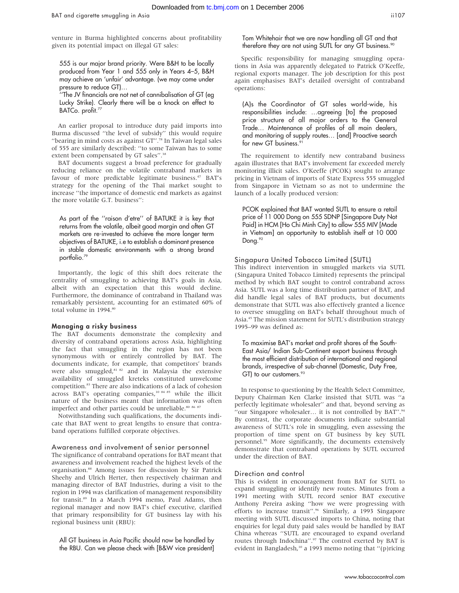555 is our major brand priority. Were B&H to be locally produced from Year 1 and 555 only in Years 4–5, B&H may achieve an 'unfair' advantage. (we may come under pressure to reduce GT)…

''The JV financials are not net of cannibalisation of GT (eg Lucky Strike). Clearly there will be a knock on effect to BATCo. profit.<sup>77</sup>

An earlier proposal to introduce duty paid imports into Burma discussed ''the level of subsidy'' this would require "bearing in mind costs as against  $GT''$ .<sup>78</sup> In Taiwan legal sales of 555 are similarly described: ''to some Taiwan has to some extent been compensated by GT sales".<sup>38</sup>

BAT documents suggest a broad preference for gradually reducing reliance on the volatile contraband markets in favour of more predictable legitimate business.<sup>47</sup> BAT's strategy for the opening of the Thai market sought to increase ''the importance of domestic end markets as against the more volatile G.T. business'':

As part of the ''raison d'etre'' of BATUKE it is key that returns from the volatile, albeit good margin and often GT markets are re-invested to achieve the more longer term objectives of BATUKE, i.e to establish a dominant presence in stable domestic environments with a strong brand portfolio.<sup>79</sup>

Importantly, the logic of this shift does reiterate the centrality of smuggling to achieving BAT's goals in Asia, albeit with an expectation that this would decline. Furthermore, the dominance of contraband in Thailand was remarkably persistent, accounting for an estimated 60% of total volume in 1994.<sup>80</sup>

## Managing a risky business

The BAT documents demonstrate the complexity and diversity of contraband operations across Asia, highlighting the fact that smuggling in the region has not been synonymous with or entirely controlled by BAT. The documents indicate, for example, that competitors' brands were also smuggled,<sup>81 82</sup> and in Malaysia the extensive availability of smuggled kreteks constituted unwelcome competition.83 There are also indications of a lack of cohesion across BAT's operating companies,<sup>10 84 85</sup> while the illicit nature of the business meant that information was often imperfect and other parties could be unreliable.<sup>80 86 87</sup>

Notwithstanding such qualifications, the documents indicate that BAT went to great lengths to ensure that contraband operations fulfilled corporate objectives.

#### Awareness and involvement of senior personnel

The significance of contraband operations for BAT meant that awareness and involvement reached the highest levels of the organisation.<sup>88</sup> Among issues for discussion by Sir Patrick Sheehy and Ulrich Herter, then respectively chairman and managing director of BAT Industries, during a visit to the region in 1994 was clarification of management responsibility for transit.<sup>89</sup> In a March 1994 memo, Paul Adams, then regional manager and now BAT's chief executive, clarified that primary responsibility for GT business lay with his regional business unit (RBU):

All GT business in Asia Pacific should now be handled by the RBU. Can we please check with [B&W vice president] Tom Whitehair that we are now handling all GT and that therefore they are not using SUTL for any GT business.<sup>90</sup>

Specific responsibility for managing smuggling operations in Asia was apparently delegated to Patrick O'Keeffe, regional exports manager. The job description for this post again emphasises BAT's detailed oversight of contraband operations:

(A)s the Coordinator of GT sales world-wide, his responsibilities include: …agreeing [to] the proposed price structure of all major orders to the General Trade… Maintenance of profiles of all main dealers, and monitoring of supply routes… [and] Proactive search for new GT business.<sup>9</sup>

The requirement to identify new contraband business again illustrates that BAT's involvement far exceeded merely monitoring illicit sales. O'Keeffe (PCOK) sought to arrange pricing in Vietnam of imports of State Express 555 smuggled from Singapore in Vietnam so as not to undermine the launch of a locally produced version:

PCOK explained that BAT wanted SUTL to ensure a retail price of 11 000 Dong on 555 SDNP [Singapore Duty Not Paid] in HCM [Ho Chi Minh City] to allow 555 MIV [Made in Vietnam] an opportunity to establish itself at 10 000 Dong.<sup>92</sup>

## Singapura United Tobacco Limited (SUTL)

This indirect intervention in smuggled markets via SUTL (Singapura United Tobacco Limited) represents the principal method by which BAT sought to control contraband across Asia. SUTL was a long time distribution partner of BAT, and did handle legal sales of BAT products, but documents demonstrate that SUTL was also effectively granted a licence to oversee smuggling on BAT's behalf throughout much of Asia.45 The mission statement for SUTL's distribution strategy 1995–99 was defined as:

To maximise BAT's market and profit shares of the South-East Asia/ Indian Sub-Continent export business through the most efficient distribution of international and regional brands, irrespective of sub-channel (Domestic, Duty Free, GT) to our customers.<sup>93</sup>

In response to questioning by the Health Select Committee, Deputy Chairman Ken Clarke insisted that SUTL was ''a perfectly legitimate wholesaler'' and that, beyond serving as "our Singapore wholesaler... it is not controlled by BAT".<sup>94</sup> By contrast, the corporate documents indicate substantial awareness of SUTL's role in smuggling, even assessing the proportion of time spent on GT business by key SUTL personnel.<sup>95</sup> More significantly, the documents extensively demonstrate that contraband operations by SUTL occurred under the direction of BAT.

## Direction and control

This is evident in encouragement from BAT for SUTL to expand smuggling or identify new routes. Minutes from a 1991 meeting with SUTL record senior BAT executive Anthony Pereira asking ''how we were progressing with efforts to increase transit".<sup>96</sup> Similarly, a 1993 Singapore meeting with SUTL discussed imports to China, noting that enquiries for legal duty paid sales would be handled by BAT China whereas ''SUTL are encouraged to expand overland routes through Indochina".<sup>97</sup> The control exerted by BAT is evident in Bangladesh,<sup>10</sup> a 1993 memo noting that "(p)ricing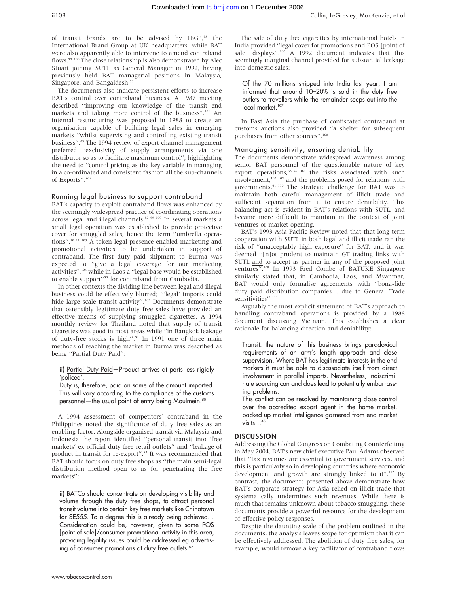of transit brands are to be advised by IBG",<sup>98</sup> the International Brand Group at UK headquarters, while BAT were also apparently able to intervene to amend contraband flows.<sup>99 100</sup> The close relationship is also demonstrated by Alec Stuart joining SUTL as General Manager in 1992, having previously held BAT managerial positions in Malaysia, Singapore, and Bangaldesh.<sup>93</sup>

The documents also indicate persistent efforts to increase BAT's control over contraband business. A 1987 meeting described ''improving our knowledge of the transit end markets and taking more control of the business".<sup>101</sup> An internal restructuring was proposed in 1988 to create an organisation capable of building legal sales in emerging markets ''whilst supervising and controlling existing transit business".<sup>45</sup> The 1994 review of export channel management preferred ''exclusivity of supply arrangements via one distributor so as to facilitate maximum control'', highlighting the need to ''control pricing as the key variable in managing in a co-ordinated and consistent fashion all the sub-channels of Exports''.102

#### Running legal business to support contraband

BAT's capacity to exploit contraband flows was enhanced by the seemingly widespread practice of coordinating operations across legal and illegal channels.<sup>92 99 100</sup> In several markets a small legal operation was established to provide protective cover for smuggled sales, hence the term ''umbrella operations''.10 11 103 A token legal presence enabled marketing and promotional activities to be undertaken in support of contraband. The first duty paid shipment to Burma was expected to ''give a legal coverage for our marketing activities",<sup>104</sup> while in Laos a "legal base would be established to enable support''50 for contraband from Cambodia.

In other contexts the dividing line between legal and illegal business could be effectively blurred; '''legal' imports could hide large scale transit activity".<sup>105</sup> Documents demonstrate that ostensibly legitimate duty free sales have provided an effective means of supplying smuggled cigarettes. A 1994 monthly review for Thailand noted that supply of transit cigarettes was good in most areas while ''in Bangkok leakage of duty-free stocks is high''.54 In 1991 one of three main methods of reaching the market in Burma was described as being ''Partial Duty Paid'':

ii) Partial Duty Paid—Product arrives at ports less rigidly 'policed'.

Duty is, therefore, paid on some of the amount imported. This will vary according to the compliance of the customs personnel—the usual point of entry being Moulmein.<sup>50</sup>

A 1994 assessment of competitors' contraband in the Philippines noted the significance of duty free sales as an enabling factor. Alongside organised transit via Malaysia and Indonesia the report identified ''personal transit into 'free markets' ex official duty free retail outlets'' and ''leakage of product in transit for re-export".<sup>82</sup> It was recommended that BAT should focus on duty free shops as ''the main semi-legal distribution method open to us for penetrating the free markets'':

ii) BATCo should concentrate on developing visibility and volume through the duty free shops, to attract personal transit volume into certain key free markets like Chinatown for SE555. To a degree this is already being achieved… Consideration could be, however, given to some POS [point of sale]/consumer promotional activity in this area, providing legality issues could be addressed eg advertising of consumer promotions at duty free outlets.<sup>82</sup>

The sale of duty free cigarettes by international hotels in India provided ''legal cover for promotions and POS [point of sale] displays".<sup>106</sup> A 1992 document indicates that this seemingly marginal channel provided for substantial leakage into domestic sales:

Of the 70 millions shipped into India last year, I am informed that around 10–20% is sold in the duty free outlets to travellers while the remainder seeps out into the local market.<sup>107</sup>

In East Asia the purchase of confiscated contraband at customs auctions also provided ''a shelter for subsequent purchases from other sources".<sup>108</sup>

#### Managing sensitivity, ensuring deniability

The documents demonstrate widespread awareness among senior BAT personnel of the questionable nature of key export operations,<sup>35 76 102</sup> the risks associated with such involvement, $102 109$  and the problems posed for relations with governments.61 110 The strategic challenge for BAT was to maintain both careful management of illicit trade and sufficient separation from it to ensure deniability. This balancing act is evident in BAT's relations with SUTL, and became more difficult to maintain in the context of joint ventures or market opening.

BAT's 1993 Asia Pacific Review noted that that long term cooperation with SUTL in both legal and illicit trade ran the risk of ''unacceptably high exposure'' for BAT, and it was deemed ''[n]ot prudent to maintain GT trading links with SUTL and to accept as partner in any of the proposed joint ventures''.109 In 1993 Fred Combe of BATUKE Singapore similarly stated that, in Cambodia, Laos, and Myanmar, BAT would only formalise agreements with ''bona-fide duty paid distribution companies… due to General Trade sensitivities".<sup>111</sup>

Arguably the most explicit statement of BAT's approach to handling contraband operations is provided by a 1988 document discussing Vietnam. This establishes a clear rationale for balancing direction and deniability:

Transit: the nature of this business brings paradoxical requirements of an arm's length approach and close supervision. Where BAT has legitimate interests in the end markets it must be able to disassociate itself from direct involvement in parallel imports. Nevertheless, indiscriminate sourcing can and does lead to potentially embarrassing problems.

This conflict can be resolved by maintaining close control over the accredited export agent in the home market, backed up market intelligence garnered from end market visits…45

## **DISCUSSION**

Addressing the Global Congress on Combating Counterfeiting in May 2004, BAT's new chief executive Paul Adams observed that ''tax revenues are essential to government services, and this is particularly so in developing countries where economic development and growth are strongly linked to it".<sup>112</sup> By contrast, the documents presented above demonstrate how BAT's corporate strategy for Asia relied on illicit trade that systematically undermines such revenues. While there is much that remains unknown about tobacco smuggling, these documents provide a powerful resource for the development of effective policy responses.

Despite the daunting scale of the problem outlined in the documents, the analysis leaves scope for optimism that it can be effectively addressed. The abolition of duty free sales, for example, would remove a key facilitator of contraband flows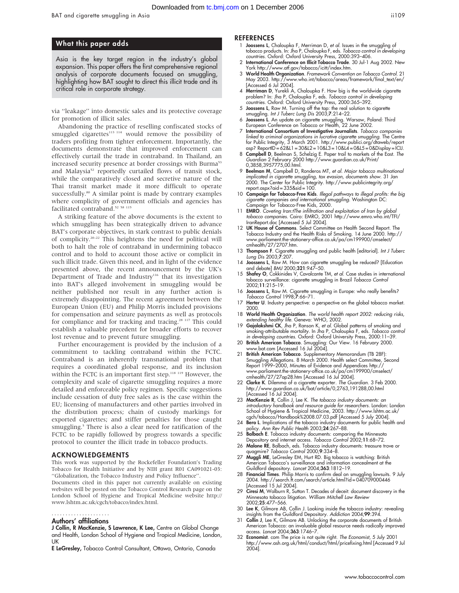#### What this paper adds

Asia is the key target region in the industry's global expansion. This paper offers the first comprehensive regional analysis of corporate documents focused on smuggling, highlighting how BAT sought to direct this illicit trade and its critical role in corporate strategy.

via ''leakage'' into domestic sales and its protective coverage for promotion of illicit sales.

Abandoning the practice of reselling confiscated stocks of smuggled cigarettes<sup>113 114</sup> would remove the possibility of traders profiting from tighter enforcement. Importantly, the documents demonstrate that improved enforcement can effectively curtail the trade in contraband. In Thailand, an increased security presence at border crossings with Burma<sup>53</sup> and Malaysia<sup>52</sup> reportedly curtailed flows of transit stock, while the comparatively closed and secretive nature of the Thai transit market made it more difficult to operate successfully.<sup>80</sup> A similar point is made by contrary examples where complicity of government officials and agencies has facilitated contraband.<sup>52</sup> 58 115

A striking feature of the above documents is the extent to which smuggling has been strategically driven to advance BAT's corporate objectives, in stark contrast to public denials of complicity.20–22 This heightens the need for political will both to halt the role of contraband in undermining tobacco control and to hold to account those active or complicit in such illicit trade. Given this need, and in light of the evidence presented above, the recent announcement by the UK's Department of Trade and Industry<sup>116</sup> that its investigation into BAT's alleged involvement in smuggling would be neither published nor result in any further action is extremely disappointing. The recent agreement between the European Union (EU) and Philip Morris included provisions for compensation and seizure payments as well as protocols for compliance and for tracking and tracing.<sup>28 117</sup> This could establish a valuable precedent for broader efforts to recover lost revenue and to prevent future smuggling.

Further encouragement is provided by the inclusion of a commitment to tackling contraband within the FCTC. Contraband is an inherently transnational problem that requires a coordinated global response, and its inclusion within the FCTC is an important first step.<sup>118 119</sup> However, the complexity and scale of cigarette smuggling requires a more detailed and enforceable policy regimen. Specific suggestions include cessation of duty free sales as is the case within the EU; licensing of manufacturers and other parties involved in the distribution process; chain of custody markings for exported cigarettes; and stiffer penalties for those caught smuggling.<sup>5</sup> There is also a clear need for ratification of the FCTC to be rapidly followed by progress towards a specific protocol to counter the illicit trade in tobacco products.

#### ACKNOWLEDGEMENTS

This work was supported by the Rockefeller Foundation's Trading Tobacco for Health Initiative and by NIH grant R01 CA091021-03: ''Globalization, the Tobacco Industry and Policy Influence''.

Documents cited in this paper not currently available on existing websites will be posted on the Tobacco Control Research page on the London School of Hygiene and Tropical Medicine website http:// www.lshtm.ac.uk/cgch/tobacco/index.html.

## .....................

#### Authors' affiliations

J Collin, R MacKenzie, S Lawrence, K Lee, Centre on Global Change and Health, London School of Hygiene and Tropical Medicine, London, UK

E LeGresley, Tobacco Control Consultant, Ottawa, Ontario, Canada

#### **REFERENCES**

- Joossens L, Chaloupka F, Merriman D, et al. Issues in the smuggling of tobacco products. In: Jha P, Chaloupka F, eds. Tobacco control in developing countries. Oxford: Oxford University Press, 2000:393–406.
- 2 International Conference on Illicit Tobacco Trade. 30 Jul-1 Aug 2002. New York http://www.atf.gov/tobacco/icitt/index.htm.
- 3 World Health Organization. Framework Convention on Tobacco Control. 21 May 2003. http://www.who.int/tobacco/areas/framework/final\_text/en/ [Accessed 6 Jul 2004].
- 4 Merriman D, Yurekli A, Chaloupka F. How big is the worldwide cigarette problem? In: Jha P, Chaloupka F, eds. Tobacco control in developing countries. Oxford: Oxford University Press, 2000:365–392.
- 5 Joossens L, Raw M. Turning off the tap: the real solution to cigarette smuggling. Int J Tuberc Lung Dis 2003;7:214–22.
- 6 Joossens L. An update on cigarette smuggling. Warsaw, Poland: Third European Conference on Tobacco or Health, 22 June 2002.
- 7 **International Consortium of Investigative Journalists**. Tobacco companies<br>linked to criminal organizations in lucrative cigarette smuggling. The Centre<br>for Public Integrity, 3 March 2001. http://www.publici.org/dtaweb/r asp? ReportID = 62&L1 = 30&L2 = 10&L3 = 10&L4 = 0&L5 = 0&Display = ICIJ.
- 8 Campbell D, Beelman S, Schelzig E. Paper trail to markets of the East. The Guardian 2 February 2000 http://www.guardian.co.uk/Print/ 0,3858,3957775,00.html.
- 9 Beelman M, Campbell D, Ronderos MT, et al. Major tobacco multinational implicated in cigarette smuggling, tax evasion, documents show. 31 Jan 2000. The Center for Public Integrity. http://www.publicintegrity.org/ report.aspx?aid = 335&sid = 100.
- 10 Campaign for Tobacco-Free Kids. Illegal pathways to illegal profits: the big cigarette companies and international smuggling. Washington DC: Campaign for Tobacco-Free Kids, 2000.
- 11 **EMRO**. Coveting Iran:tThe infiltration and exploitation of Iran by global tobacco companies. Cairo: EMRO, 2001 http://www.emro.who.int/TFI/ IranReport.doc [Accessed 5 Jul 2004].
- 12 UK House of Commons. Select Committee on Health Second Report. The Tobacco Industry and the Health Risks of Smoking. 14 June 2000. http:// www.parliament.the-stationery-office.co.uk/pa/cm199900/cmselect/ cmhealth/27/2707.htm.
- 13 Thompson F. Cigarette smuggling and public health [editorial]. Int J Tuberc Lung Dis 2003;7:207.
- 14 Joossens L, Raw M. How can cigarette smuggling be reduced? [Education and debate] BMJ 2000;321:947–50.
- 15 Shafey O, Cokkinides V, Cavalcante TM, et al. Case studies in international tobacco surveillance: cigarette smuggling in Brazil Tobacco Control 2002;11:215–19.
- 16 Joossens L, Raw M. Cigarette smuggling in Europe: who really benefits? Tobacco Control 1998;7:66–71.
- 17 Herter U. Industry perspective: a perspective on the global tobacco market. 2000.
- 18 World Health Organization. The world health report 2002: reducing risks, extending healthy life. Geneva: WHO, 2002.
- 19 Gajalakshmi CK, Jha P, Ranson K, et al. Global patterns of smoking and smoking-attributable mortality. In Jha P, Chaloupka F, eds. Tobacco control in developing countries. Oxford: Oxford University Press, 2000:11–39.
- 20 British American Tobacco. Smuggling: Our View. 16 February 2000. www.bat.com [Accessed 16 Jul 2004].
- 21 British American Tobacco. Supplementary Memorandum (TB 28F): Smuggling Allegations. 8 March 2000. Health select Committee, Second Report 1999–2000, Minutes of Evidence and Appendices http:// www.parliament.the-stationery-office.co.uk/pa/cm199900/cmselect/ cmhealth/27/27ap28.htm [Accessed 16 Jul 2004].
- 22 Clarke K. Dilemma of a cigarette exporter. The Guardian. 3 Feb 2000. http://www.guardian.co.uk/bat/article/0,2763,191288,00.html ....p.; , ........gea.a.a....e.<br>[Accessed 16 Jul 2004].
- 23 MacKenzie R, Collin J, Lee K. The tobacco industry documents: an introductory handbook and resource guide for researchers. London: London School of Hygiene & Tropical Medicine, 2003. http://www.lshtm.ac.uk/ cgch/tobacco/Handbook%2008.07.03.pdf [Accessed 5 July 2004].
- 24 Bero L. Implications of the tobacco industry documents for public health and policy. Ann Rev Public Health 2003;24:267–88.
- 25 Balbach E. Tobacco industry documents: comparing the Minnesota Depository and internet access. Tobacco Control 2002;11:68–72.
- 26 Malone RE, Balbach, eds. Tobacco industry documents: treasure trove or quagmire? Tobacco Control 2000;9:334–8.
- 27 Muggli ME, LeGresley EM, Hurt RD. Big tobacco is watching: British American Tobacco's surveillance and information concealment at the Guildford depository. Lancet 2004;363:1812–19.
- 28 Financial Times. Philip Morris to confirm deal on smuggling lawsuits. 9 July 2004. http://search.ft.com/search/article.html?id = 040709000446 [Accessed 15 Jul 2004].
- 29 Ciresi M, Walburn R, Sutton T. Decades of deceit: document discovery in the Minnesota tobacco litigation. William Mitchell Law Review 2002;25:477–566.
- 30 Lee K, Gilmore AB, Collin J. Looking inside the tobacco industry: revealing
- insights from the Guildford Depository. Addiction 2004;99:394. 31 Collin J, Lee K, Gilmore AB. Unlocking the corporate documents of British American Tobacco: an invaluable global resource needs radically improved access. Lancet 2004;363:1746–7.
- 32 Economist. com The price is not quite right. The Economist, 5 July 2001 http://www.ash.org.uk/html/conduct/html/pricefixing.html [Accessed 9 Jul 2004].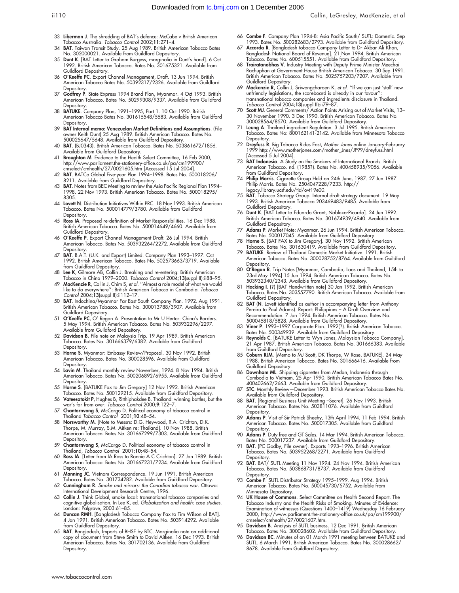- 33 Liberman J. The shredding of BAT's defence: McCabe v British American Tobacco Australia. Tobacco Control 2002;11:271–4.
- 34 BAT. Taiwan Transit Study. 25 Aug 1989. British American Tobacco Bates No. 302000021. Available from Guildford Depository.
- 35 Dunt K. [BAT Letter to Graham Burgess; marginalia in Dunt's hand]. 6 Oct 1992. British American Tobacco. Bates No. 301675321. Available from Guildford Depository.
- 36 O'Keeffe PC. Export Channel Management, Draft. 13 Jun 1994. British American Tobacco Bates No. 50392317/2326. Available from Guildford
- Depository.<br>37 **Godfrey P**. State Express 1994 Brand Plan, Myanmar. 4 Oct 1993. British American Tobacco. Bates No. 50299308/9337. Available from Guildford **Depository**
- 38 BATUKE. Company Plan, 1991–1995, Part 1. 10 Oct 1990. British American Tobacco Bates No. 301615548/5583. Available from Guildford **Depository**
- 39 BAT Internal memo: Venezuelan Market Definitions and Assumptions. (File owner Keith Dunt) 25 Aug 1989. British American Tobacco. Bates No. 500025647/5648. Available from Guildford Depository.
- 40 BAT. (BJ0343). British American Tobacco. Bates No. 503861672/1856. Available from Guildford Depository.
- 41 Broughton M. Evidence to the Health Select Committee, 16 Feb 2000, http://www.parliament.the-stationery-office.co.uk/pa/cm199900/<br>cmselect/cmhealth/27/0021605.htm [Accessed 15 Jul 2004].<br>42 **BAT**. BATCo Global Five-year Plan 1994–1998. Bates No. 500018206/
- 
- 8211. Available from Guildford Depository. 43 BAT. Notes from BEC Meeting to review the Asia Pacific Regional Plan 1994– 1998. 22 Nov 1993. British American Tobacco. Bates No. 500018295/ 8305.
- 44 Lovett N. Distribution Initiatives Within PRC. 18 Nov 1993. British American Tobacco. Bates No. 500014779/3780. Available from Guildford Depositor
- 45 Ross IA. Proposed re-definition of Market Responsibilities. 16 Dec 1988. British American Tobacco. Bates No. 500014649/4660. Available from
- Guildford Depository. 46 O'Keeffe P. Export Channel Management Draft. 26 Jul 1994. British American Tobacco. Bates No. 503932264/2272. Available from Guildford **Depository**
- 47 BAT. B.A.T. (U.K. and Export) Limited. Company Plan 1993–1997. Oct 1992. British American Tobacco. Bates No. 502573663/3719. Available from Guildford Depository.
- 48 Lee K, Gilmore AB, Collin J. Breaking and re-entering: British American
- Tobacco in China 1979–2000. Tobacco Control 2004;13(suppl II):ii88–95. 49 MacKenzie R, Collin J, Chim S, et al. ''Almost a role model of what we would like to do everywhere'': British American Tobacco in Cambodia. *Tobacco*<br>*Control* 2004;**13(**suppl II):ii112–17.
- 50 BAT. Indochina/Myanmar Far East South Company Plan. 1992. Aug 1991. British American Tobacco. Bates No. 300013788/3907. Available from Guildford Depository.
- 51 O'Keeffe PC, O' Regan A. Presentation to Mr U Herter: China's Borders. 5 May 1994. British American Tobacco. Bates No. 503932296/2297.
- Available from Guildford Depository.<br>52 **Davidson B**. File note on Malaysia Trip. 19 Apr 1989. British American Tobacco. Bates No. 301666379/6382. Available from Guildford **Depository**
- 53 Horne S. Myanmar: Embassy Review/Proposal. 30 Nov 1992. British American Tobacco. Bates No. 300028596. Available from Guildford **Depository**
- 54 Lavin M. Thailand monthly review November, 1994. 8 Nov 1994. British American Tobacco. Bates No. 500206892/6955. Available from Guildford **Depository**
- 55 Horne S. [BATUKE Fax to Jim Gregory] 12 Nov 1992. British American Tobacco. Bates No. 500129215. Available from Guildford Depository.
- 56 Vateesatokit P, Hughes B, Ritthiphakdee B. Thailand: winning battles, but the war's far from over. Tobacco Control 2000;9:122–7.
- 57 Chantornvong S, McCargo D. Political economy of tobacco control in Thailand Tobacco Control 2001;10:48–54.
- 58 Norsworthy M. [Note to Messrs: D.G. Heywood, R.A. Crichton, D.K. Thorpe, M. Murray, S.M. Aitken re: Thailand]. 10 Nov 1988. British American Tobacco. Bates No. 301667299/7303. Available from Guildford **Depository**
- 59 Chantornvong S, McCargo D. Political economy of tobacco control in Thailand, Tobacco Control 2001;10:48–54.
- 60 Ross IA. [Letter from IA Ross to Ronnie A C Crichton]. 27 Jan 1989. British American Tobacco. Bates No. 301667231/7234. Available from Guildford **Depository**
- 61 Manning JC. Vietnam Correspondence. 19 Jun 1991. British American Tobacco. Bates No. 301734282. Available from Guildford Depository.
- 62 Cunningham R. Smoke and mirrors: the Canadian tobacco war. Ottawa: International Development Research Centre, 1996.
- 63 Collin J. Think Global, smoke local: transnational tobacco companies and cognitive globalisation. In Lee K, ed. Globalization and health: case studies. London: Palgrave, 2003:61–85.
- 64 Duncan RMH. [Bangladesh Tobacco Company Fax to Tim Wilson of BAT]. 4 Jan 1991. British American Tobacco. Bates No. 503914292. Available from Guildford Depository.
- 65 BAT. Bangladesh, Imports of BHSF by BTC. Marginalia note on additional copy of document from Steve Smith to David Aitken. 16 Dec 1993. British American Tobacco. Bates No. 301702136. Available from Guildford **Depository**
- 66 Combe F. Company Plan 1994-8: Asia Pacific South/ SUTL: Domestic. Sep 1993. Bates No. 500282683/2793. Available from Guildford Depository.
- 67 Accorda R. [Bangladesh tobacco Company Letter to Dr Akbar Ali Khan, Bangladesh National Board of Revenue]. 21 Nov 1994. British American Tobacco. Bates No. 600515551. Available from Guildford Depository.
- 68 Trairatanobhas V. Industry Meeting with Deputy Prime Minister Meechai Rachuphan at Government House British American Tobacco. 30 Sep 1991. British American Tobacco. Bates No. 5025757203/7207. Available from Guildford Depository.
- 69 Mackenzie R, Collin J, Sriwongcharoen K, et al. ''If we can just 'stall' new unfriendly legislations, the scoreboard is already in our favour' transnational tobacco companies and ingredients disclosure in Thailand. Tobacco Control 2004;13(suppl II):ii79–87.
- 70 Scott MJ. General Comments/ Action Points Arising out of Market Visits, 13– 30 November 1990. 3 Dec 1990. British American Tobacco. Bates No. 300028564/8570. Available from Guildford Depository.
- 71 Leung A. Thailand ingredient Regulation. 3 Jul 1995. British American Tobacco. Bates No: 800162141-2142. Available from Minnesota Tobacco **Depository**
- 72 Dreyfuss R. Big Tobacco Rides East, Mother Jones online January-February 1999 http://www.motherjones.com/mother\_Jnes/JF99/dreyfuss.html Accessed 5 Jul 2004].
- 73 BAT Indonesia. A Study on the Smokers of International Brands. British American Tobacco. nd. (1985?). Bates No. 400458935/9056. Available
- from Guildford Depository. 74 Philip Morris. Cigarette Group Held on 24th June, 1987. 27 Jun 1987. Philip Morris. Bates No. 2504047228/7233. http:// legacy.library.ucsf.edu/tid/ovt19e00.
- 75 BAT. Tobacco Strategy Group. Internal draft strategy document. 19 May 1993. British American Tobacco 203469483/9485. Available from Guildford Depository.
- 76 Dunt K. [BAT Letter to Eduardo Grant, Noblexa-Picardo]. 24 Jun 1992. British American Tobacco. Bates No. 301674939/4940. Available from Guildford Depository.
- 77 Adams P. Market Note: Myanmar. 26 Jun 1994. British American Tobacco. Bates No. 500017045. Available from Guildford Depository.
- 78 Horne S. [BAT FAX to Jim Gregory]. 30 Nov 1992. British American Tobacco. Bates No. 301630419. Available from Guildford Depository.
- 79 BATUKE. Review of Thailand Domestic Market Initiative. 1991. British American Tobacco. Bates No. 300028752/8764. Available from Guildford **Depository**
- 80 O'Regan R. Trip Notes [Myanmar, Cambodia, Laos and Thailand, 15th to 23rd May 1994] 15 Jun 1994. British American Tobacco. Bates No. 503932340/2343. Available from Guildford Depository.
- 81 Hacking I. (?) [BAT Handwritten note] 30 Jan 1992. British American Tobacco. Bates No. 303557790. British American Tobacco. Available from Guildford Depository.
- 82 BAT (N. Lovett identified as author in accompanying letter from Anthony Pereira to Paul Adams). Report: Philippines – A Draft Overview and Recommendation. 7 Jan 1994. British American Tobacco. Bates No.
- 500045818/5828. Available from Guildford Depository. 83 Viner P. 1993–1997 Corporate Plan. 1992(?). British American Tobacco. Bates No. 500349939. Available from Guildford Depository.
- 84 Reynolds C. [BATUKE Letter to Wyn Jones, Malaysian Tobacco Company]. 21 Apr 1987. British American Tobacco. Bates No. 301666383. Available from Guildford Depository.
- Coburn RJM. [Memo to MJ Scott, DK Thorpe, W Rose, BATUKE]. 24 May 1988. British American Tobacco. Bates No. 301666416. Available from Guildford Depository.
- 86 Downham ML. Shipping cigarettes from Medan, Indonesia through Cambodia to Vietnam. 25 Apr 1990. British American Tobacco Bates No. 400402662/2663. Available from Guildford Depository.
- 87 STC. Monthly Review—December 1993. British American Tobacco Bates No. Available from Guildford Depository.
- 88 BAT. [Regional Business Unit Meeting –Secret]. 26 Nov 1993. British American Tobacco. Bates No. 503811076. Available from Guildford
- Depository. 89 Adams P. Visit of Sir Patrick Sheehy, 13th April 1994. 11 Feb 1994. British American Tobacco. Bates No. 500017305. Available from Guildford **Depository**
- 90 Adams P. Duty free and GT Sales. 14 Mar 1994. British American Tobacco. Bates No. 500017237. Available from Guildford Depository.
- 91 BAT. (PC Godby, File owner). Exports 1993-1996. British American Tobacco. Bates No. 503952268/2271. Available from Guildford Depository
- 92 BAT. BAT/ SUTL Meeting 11 Nov 1994. 24 Nov 1994. British American Tobacco. Bates No. 503868731/8737. Available from Guildford **Depository**
- 93 Combe F. SUTL Distributor Strategy 1995–1999. Aug 1994. British American Tobacco. Bates No. 500045730/5752. Available from Minnesota Depository.
- 94 UK House of Commons. Select Committee on Health Second Report. The Tobacco Industry and the Health Risks of Smoking. Minutes of Evidence: Examination of witnesses (Questions 1400–1419) Wednesday 16 February 2000, http://www.parliament.the-stationery-office.co.uk/pa/cm199900/ cmselect/cmhealth/27/0021607.htm.
- 95 Davidson B. Analysis of SUTL business. 12 Dec 1991. British American Tobacco. Bates No. 300028602. Available from Guildford Depository
- Davidson BC. Minutes of an 01 March 1991 meeting between BATUKE and SUTL. 6 March 1991. British American Tobacco. Bates No. 300028662/ 8678. Available from Guildford Depository.